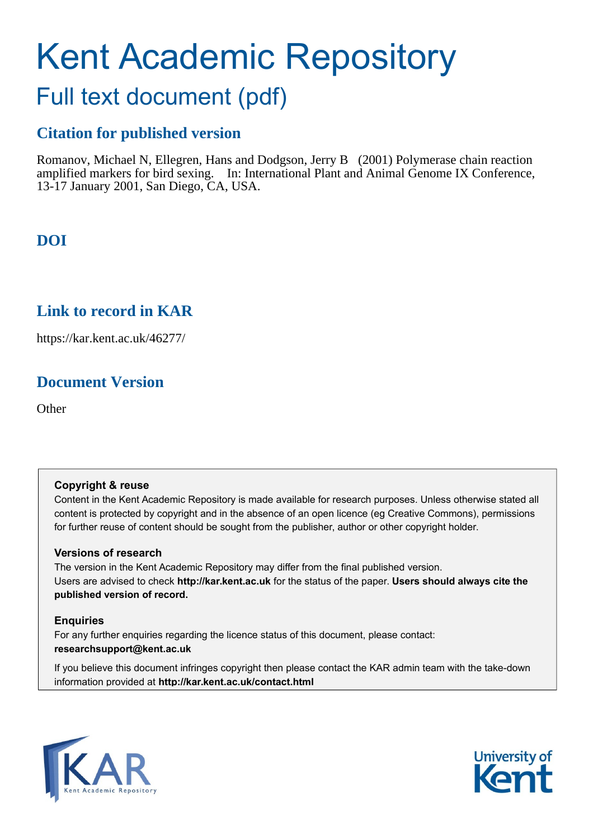# Kent Academic Repository

## Full text document (pdf)

## **Citation for published version**

Romanov, Michael N, Ellegren, Hans and Dodgson, Jerry B (2001) Polymerase chain reaction amplified markers for bird sexing. In: International Plant and Animal Genome IX Conference, 13-17 January 2001, San Diego, CA, USA.

## **DOI**

### **Link to record in KAR**

https://kar.kent.ac.uk/46277/

## **Document Version**

**Other** 

#### **Copyright & reuse**

Content in the Kent Academic Repository is made available for research purposes. Unless otherwise stated all content is protected by copyright and in the absence of an open licence (eg Creative Commons), permissions for further reuse of content should be sought from the publisher, author or other copyright holder.

#### **Versions of research**

The version in the Kent Academic Repository may differ from the final published version. Users are advised to check **http://kar.kent.ac.uk** for the status of the paper. **Users should always cite the published version of record.**

#### **Enquiries**

For any further enquiries regarding the licence status of this document, please contact: **researchsupport@kent.ac.uk**

If you believe this document infringes copyright then please contact the KAR admin team with the take-down information provided at **http://kar.kent.ac.uk/contact.html**